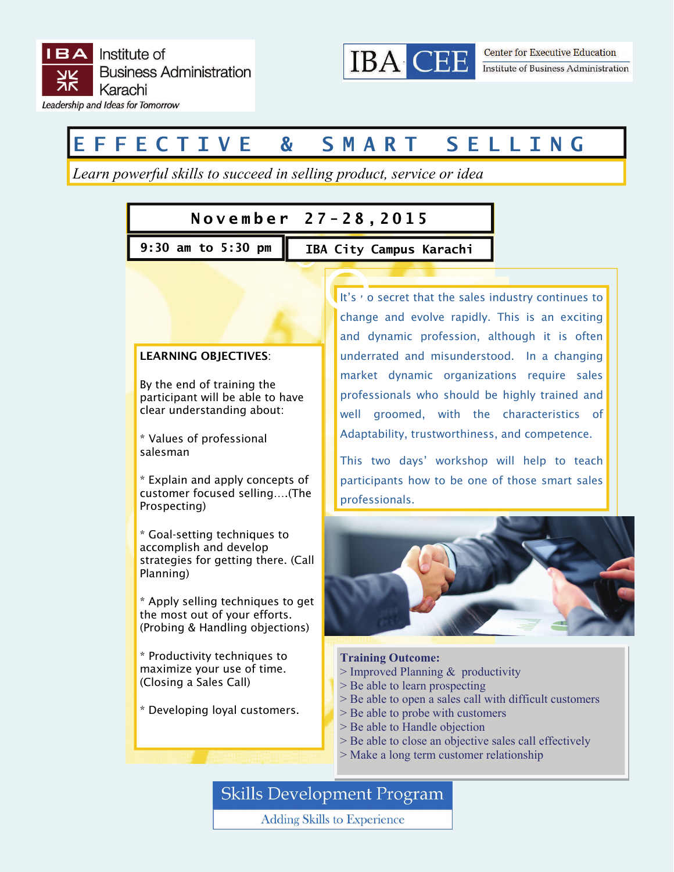

# **EFFECTIVE & SMART SELLING**

*Learn powerful skills to succeed in selling product, service or idea* 

### **November 27-28,2015**

**9:30 am to 5:30 pm IBA City Campus Karachi** 



It's no secret that the sales industry continues to change and evolve rapidly. This is an exciting and dynamic profession, although it is often underrated and misunderstood. In a changing market dynamic organizations require sales professionals who should be highly trained and well groomed, with the characteristics of Adaptability, trustworthiness, and competence.

This two days' workshop will help to teach participants how to be one of those smart sales



#### **Training Outcome:**

- $>$  Improved Planning  $&$  productivity
- > Be able to learn prospecting
- > Be able to open a sales call with difficult customers
- > Be able to probe with customers
- > Be able to Handle objection
- > Be able to close an objective sales call effectively
- > Make a long term customer relationship

**Skills Development Program** 

**Adding Skills to Experience**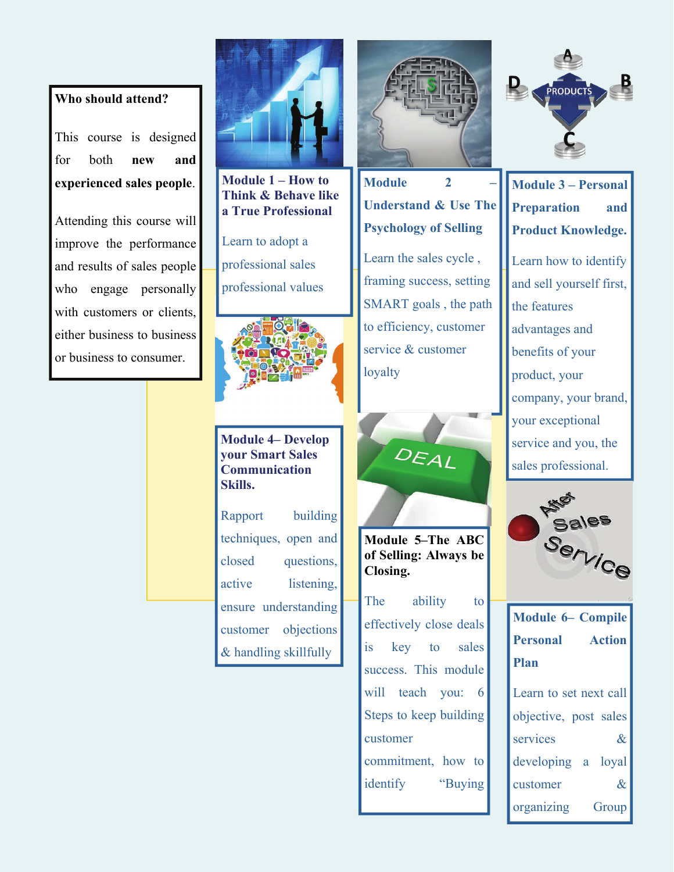#### **Who should attend?**

This course is designed for both **new and experienced sales people**.

Attending this course will improve the performance and results of sales people who engage personally with customers or clients, either business to business or business to consumer.



**Module 1 – How to Think & Behave like a True Professional** 

Learn to adopt a professional sales professional values



#### **Module 4– Develop your Smart Sales Communication Skills.**

Rapport building techniques, open and closed questions, active listening, ensure understanding customer objections & handling skillfully



## **Module** 2 **Understand & Use The Psychology of Selling**

Learn the sales cycle , framing success, setting SMART goals , the path to efficiency, customer service & customer loyalty



**Module 5–The ABC of Selling: Always be Closing.** 

The ability to effectively close deals is key to sales success. This module will teach you: 6 Steps to keep building customer commitment, how to identify "Buying



**Module 3 – Personal Preparation and Product Knowledge.** 

Learn how to identify and sell yourself first, the features advantages and benefits of your product, your company, your brand, your exceptional service and you, the sales professional.



| <b>Module 6– Compile</b> |  |  |
|--------------------------|--|--|
| <b>Personal</b> Action   |  |  |
| <b>Plan</b>              |  |  |
| Learn to set next call   |  |  |

| L'outre du soit nont outre |  |                             |
|----------------------------|--|-----------------------------|
| objective, post sales      |  |                             |
| services                   |  | $\&$                        |
| developing a loyal         |  |                             |
| customer                   |  | $\mathcal{R}_{\mathcal{L}}$ |
| organizing                 |  | Group                       |